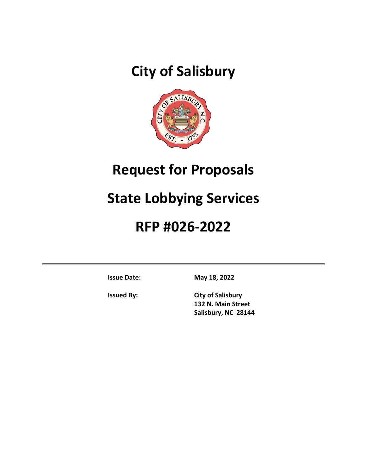# **City of Salisbury**



# **Request for Proposals**

# **State Lobbying Services**

# **RFP #026-2022**

**Issue Date: May 18, 2022**

**Issued By: City of Salisbury 132 N. Main Street Salisbury, NC 28144**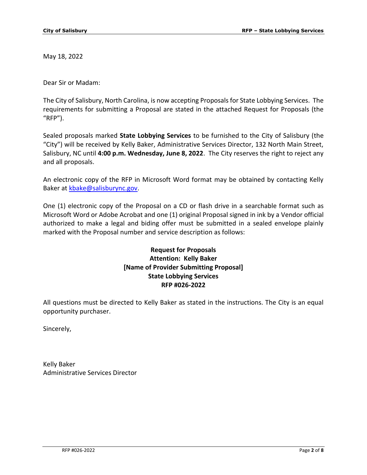May 18, 2022

Dear Sir or Madam:

The City of Salisbury, North Carolina, is now accepting Proposals for State Lobbying Services. The requirements for submitting a Proposal are stated in the attached Request for Proposals (the "RFP").

Sealed proposals marked **State Lobbying Services** to be furnished to the City of Salisbury (the "City") will be received by Kelly Baker, Administrative Services Director, 132 North Main Street, Salisbury, NC until **4:00 p.m. Wednesday, June 8, 2022**. The City reserves the right to reject any and all proposals.

An electronic copy of the RFP in Microsoft Word format may be obtained by contacting Kelly Baker at [kbake@salisburync.gov.](mailto:kbake@salisburync.gov)

One (1) electronic copy of the Proposal on a CD or flash drive in a searchable format such as Microsoft Word or Adobe Acrobat and one (1) original Proposal signed in ink by a Vendor official authorized to make a legal and biding offer must be submitted in a sealed envelope plainly marked with the Proposal number and service description as follows:

## **Request for Proposals Attention: Kelly Baker [Name of Provider Submitting Proposal] State Lobbying Services RFP #026-2022**

All questions must be directed to Kelly Baker as stated in the instructions. The City is an equal opportunity purchaser.

Sincerely,

Kelly Baker Administrative Services Director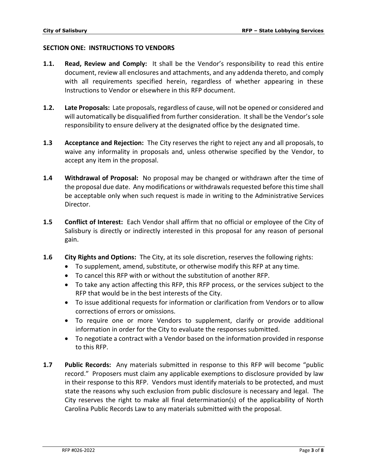#### **SECTION ONE: INSTRUCTIONS TO VENDORS**

- **1.1. Read, Review and Comply:** It shall be the Vendor's responsibility to read this entire document, review all enclosures and attachments, and any addenda thereto, and comply with all requirements specified herein, regardless of whether appearing in these Instructions to Vendor or elsewhere in this RFP document.
- **1.2. Late Proposals:** Late proposals, regardless of cause, will not be opened or considered and will automatically be disqualified from further consideration. It shall be the Vendor's sole responsibility to ensure delivery at the designated office by the designated time.
- **1.3 Acceptance and Rejection:** The City reserves the right to reject any and all proposals, to waive any informality in proposals and, unless otherwise specified by the Vendor, to accept any item in the proposal.
- **1.4 Withdrawal of Proposal:** No proposal may be changed or withdrawn after the time of the proposal due date. Any modifications or withdrawals requested before this time shall be acceptable only when such request is made in writing to the Administrative Services Director.
- **1.5 Conflict of Interest:** Each Vendor shall affirm that no official or employee of the City of Salisbury is directly or indirectly interested in this proposal for any reason of personal gain.
- **1.6 City Rights and Options:** The City, at its sole discretion, reserves the following rights:
	- To supplement, amend, substitute, or otherwise modify this RFP at any time.
	- To cancel this RFP with or without the substitution of another RFP.
	- To take any action affecting this RFP, this RFP process, or the services subject to the RFP that would be in the best interests of the City.
	- To issue additional requests for information or clarification from Vendors or to allow corrections of errors or omissions.
	- To require one or more Vendors to supplement, clarify or provide additional information in order for the City to evaluate the responses submitted.
	- To negotiate a contract with a Vendor based on the information provided in response to this RFP.
- **1.7 Public Records:** Any materials submitted in response to this RFP will become "public record." Proposers must claim any applicable exemptions to disclosure provided by law in their response to this RFP. Vendors must identify materials to be protected, and must state the reasons why such exclusion from public disclosure is necessary and legal. The City reserves the right to make all final determination(s) of the applicability of North Carolina Public Records Law to any materials submitted with the proposal.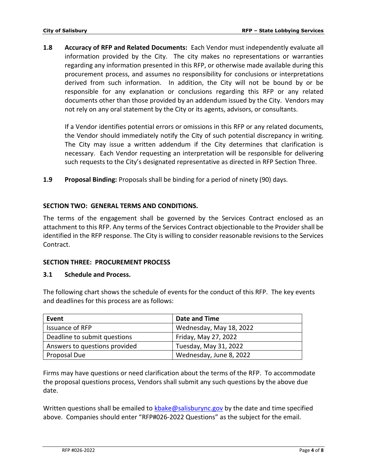**1.8 Accuracy of RFP and Related Documents:** Each Vendor must independently evaluate all information provided by the City. The city makes no representations or warranties regarding any information presented in this RFP, or otherwise made available during this procurement process, and assumes no responsibility for conclusions or interpretations derived from such information. In addition, the City will not be bound by or be responsible for any explanation or conclusions regarding this RFP or any related documents other than those provided by an addendum issued by the City. Vendors may not rely on any oral statement by the City or its agents, advisors, or consultants.

If a Vendor identifies potential errors or omissions in this RFP or any related documents, the Vendor should immediately notify the City of such potential discrepancy in writing. The City may issue a written addendum if the City determines that clarification is necessary. Each Vendor requesting an interpretation will be responsible for delivering such requests to the City's designated representative as directed in RFP Section Three.

**1.9 Proposal Binding:** Proposals shall be binding for a period of ninety (90) days.

### **SECTION TWO: GENERAL TERMS AND CONDITIONS.**

The terms of the engagement shall be governed by the Services Contract enclosed as an attachment to this RFP. Any terms of the Services Contract objectionable to the Provider shall be identified in the RFP response. The City is willing to consider reasonable revisions to the Services Contract.

### **SECTION THREE: PROCUREMENT PROCESS**

#### **3.1 Schedule and Process.**

The following chart shows the schedule of events for the conduct of this RFP. The key events and deadlines for this process are as follows:

| Event                         | Date and Time           |
|-------------------------------|-------------------------|
| Issuance of RFP               | Wednesday, May 18, 2022 |
| Deadline to submit questions  | Friday, May 27, 2022    |
| Answers to questions provided | Tuesday, May 31, 2022   |
| Proposal Due                  | Wednesday, June 8, 2022 |

Firms may have questions or need clarification about the terms of the RFP. To accommodate the proposal questions process, Vendors shall submit any such questions by the above due date.

Written questions shall be emailed to [kbake@salisburync.gov](mailto:kbake@salisburync.gov) by the date and time specified above. Companies should enter "RFP#026-2022 Questions" as the subject for the email.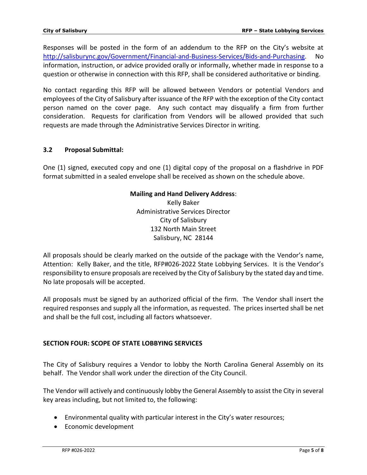Responses will be posted in the form of an addendum to the RFP on the City's website at [http://salisburync.gov/Government/Financial-and-Business-Services/Bids-and-Purchasing.](http://salisburync.gov/Government/Financial-and-Business-Services/Bids-and-Purchasing) No information, instruction, or advice provided orally or informally, whether made in response to a question or otherwise in connection with this RFP, shall be considered authoritative or binding.

No contact regarding this RFP will be allowed between Vendors or potential Vendors and employees of the City of Salisbury after issuance of the RFP with the exception of the City contact person named on the cover page. Any such contact may disqualify a firm from further consideration. Requests for clarification from Vendors will be allowed provided that such requests are made through the Administrative Services Director in writing.

## **3.2 Proposal Submittal:**

One (1) signed, executed copy and one (1) digital copy of the proposal on a flashdrive in PDF format submitted in a sealed envelope shall be received as shown on the schedule above.

#### **Mailing and Hand Delivery Address**:

Kelly Baker Administrative Services Director City of Salisbury 132 North Main Street Salisbury, NC 28144

All proposals should be clearly marked on the outside of the package with the Vendor's name, Attention: Kelly Baker, and the title, RFP#026-2022 State Lobbying Services. It is the Vendor's responsibility to ensure proposals are received by the City of Salisbury by the stated day and time. No late proposals will be accepted.

All proposals must be signed by an authorized official of the firm. The Vendor shall insert the required responses and supply all the information, as requested. The prices inserted shall be net and shall be the full cost, including all factors whatsoever.

### **SECTION FOUR: SCOPE OF STATE LOBBYING SERVICES**

The City of Salisbury requires a Vendor to lobby the North Carolina General Assembly on its behalf. The Vendor shall work under the direction of the City Council.

The Vendor will actively and continuously lobby the General Assembly to assist the City in several key areas including, but not limited to, the following:

- Environmental quality with particular interest in the City's water resources;
- Economic development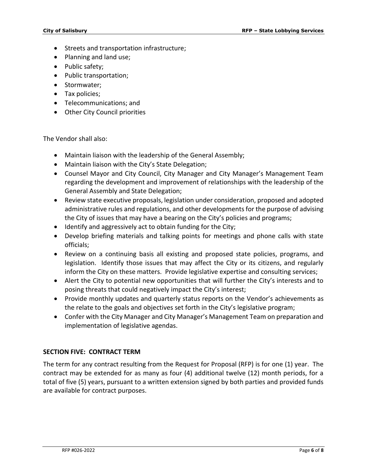- Streets and transportation infrastructure;
- Planning and land use;
- Public safety:
- Public transportation;
- Stormwater;
- Tax policies;
- Telecommunications; and
- Other City Council priorities

The Vendor shall also:

- Maintain liaison with the leadership of the General Assembly;
- Maintain liaison with the City's State Delegation;
- Counsel Mayor and City Council, City Manager and City Manager's Management Team regarding the development and improvement of relationships with the leadership of the General Assembly and State Delegation;
- Review state executive proposals, legislation under consideration, proposed and adopted administrative rules and regulations, and other developments for the purpose of advising the City of issues that may have a bearing on the City's policies and programs;
- Identify and aggressively act to obtain funding for the City;
- Develop briefing materials and talking points for meetings and phone calls with state officials;
- Review on a continuing basis all existing and proposed state policies, programs, and legislation. Identify those issues that may affect the City or its citizens, and regularly inform the City on these matters. Provide legislative expertise and consulting services;
- Alert the City to potential new opportunities that will further the City's interests and to posing threats that could negatively impact the City's interest;
- Provide monthly updates and quarterly status reports on the Vendor's achievements as the relate to the goals and objectives set forth in the City's legislative program;
- Confer with the City Manager and City Manager's Management Team on preparation and implementation of legislative agendas.

### **SECTION FIVE: CONTRACT TERM**

The term for any contract resulting from the Request for Proposal (RFP) is for one (1) year. The contract may be extended for as many as four (4) additional twelve (12) month periods, for a total of five (5) years, pursuant to a written extension signed by both parties and provided funds are available for contract purposes.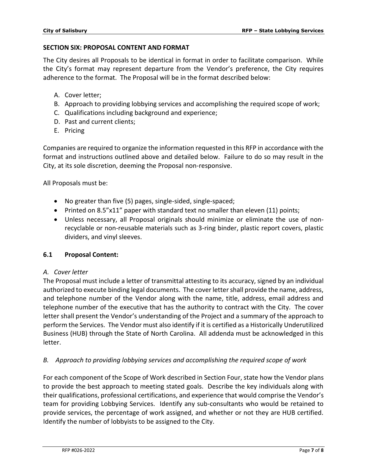### **SECTION SIX: PROPOSAL CONTENT AND FORMAT**

The City desires all Proposals to be identical in format in order to facilitate comparison. While the City's format may represent departure from the Vendor's preference, the City requires adherence to the format. The Proposal will be in the format described below:

- A. Cover letter;
- B. Approach to providing lobbying services and accomplishing the required scope of work;
- C. Qualifications including background and experience;
- D. Past and current clients;
- E. Pricing

Companies are required to organize the information requested in this RFP in accordance with the format and instructions outlined above and detailed below. Failure to do so may result in the City, at its sole discretion, deeming the Proposal non-responsive.

All Proposals must be:

- No greater than five (5) pages, single-sided, single-spaced;
- Printed on 8.5"x11" paper with standard text no smaller than eleven (11) points;
- Unless necessary, all Proposal originals should minimize or eliminate the use of nonrecyclable or non-reusable materials such as 3-ring binder, plastic report covers, plastic dividers, and vinyl sleeves.

### **6.1 Proposal Content:**

#### *A. Cover letter*

The Proposal must include a letter of transmittal attesting to its accuracy, signed by an individual authorized to execute binding legal documents. The cover letter shall provide the name, address, and telephone number of the Vendor along with the name, title, address, email address and telephone number of the executive that has the authority to contract with the City. The cover letter shall present the Vendor's understanding of the Project and a summary of the approach to perform the Services. The Vendor must also identify if it is certified as a Historically Underutilized Business (HUB) through the State of North Carolina. All addenda must be acknowledged in this letter.

### *B. Approach to providing lobbying services and accomplishing the required scope of work*

For each component of the Scope of Work described in Section Four, state how the Vendor plans to provide the best approach to meeting stated goals. Describe the key individuals along with their qualifications, professional certifications, and experience that would comprise the Vendor's team for providing Lobbying Services. Identify any sub-consultants who would be retained to provide services, the percentage of work assigned, and whether or not they are HUB certified. Identify the number of lobbyists to be assigned to the City.